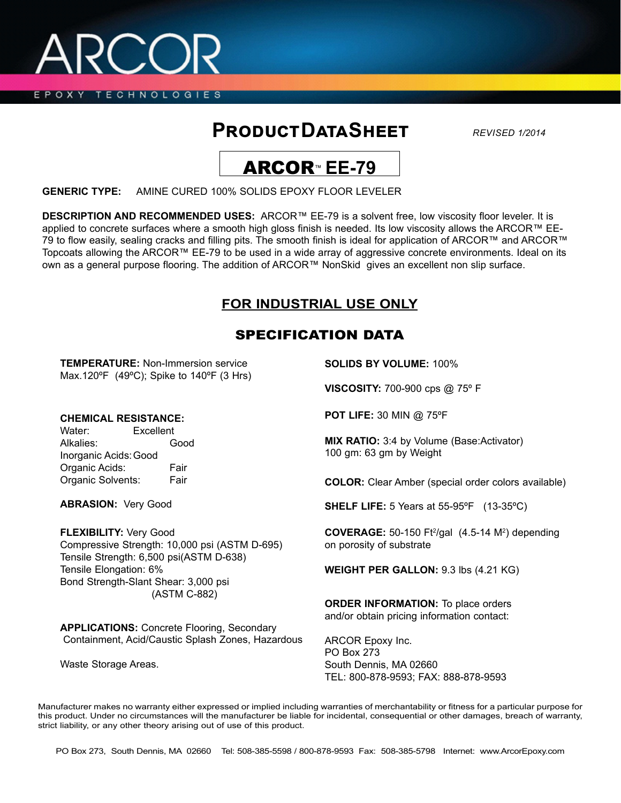EPOXY TECHNOLOGIES

# **Product Data Sheet**

*REVISED 1/2014*



**GENERIC TYPE:** AMINE CURED 100% SOLIDS EPOXY FLOOR LEVELER

**DESCRIPTION AND RECOMMENDED USES:** ARCOR™ EE-79 is a solvent free, low viscosity floor leveler. It is applied to concrete surfaces where a smooth high gloss finish is needed. Its low viscosity allows the ARCOR™ EE-79 to flow easily, sealing cracks and filling pits. The smooth finish is ideal for application of ARCOR™ and ARCOR™ Topcoats allowing the ARCOR™ EE-79 to be used in a wide array of aggressive concrete environments. Ideal on its own as a general purpose flooring. The addition of ARCOR™ NonSkid gives an excellent non slip surface.

## **FOR INDUSTRIAL USE ONLY**

## SPECIFICATION DATA

**TEMPERATURE:** Non-Immersion service Max.120ºF (49ºC); Spike to 140ºF (3 Hrs)

### **CHEMICAL RESISTANCE:**

Water: Excellent Alkalies: Good Inorganic Acids:Good Organic Acids: Fair Organic Solvents: Fair

**ABRASION:** Very Good

**FLEXIBILITY:** Very Good Compressive Strength: 10,000 psi (ASTM D-695) Tensile Strength: 6,500 psi(ASTM D-638) Tensile Elongation: 6% Bond Strength-Slant Shear: 3,000 psi (ASTM C-882)

**APPLICATIONS:** Concrete Flooring, Secondary Containment, Acid/Caustic Splash Zones, Hazardous

Waste Storage Areas.

**SOLIDS BY VOLUME:** 100%

**VISCOSITY:** 700-900 cps @ 75º F

**POT LIFE:** 30 MIN @ 75ºF

**MIX RATIO:** 3:4 by Volume (Base:Activator) 100 gm: 63 gm by Weight

**COLOR:** Clear Amber (special order colors available)

**SHELF LIFE:** 5 Years at 55-95ºF (13-35ºC)

**COVERAGE:** 50-150 Ft<sup>2</sup>/gal (4.5-14 M<sup>2</sup>) depending on porosity of substrate

**WEIGHT PER GALLON:** 9.3 lbs (4.21 KG)

**ORDER INFORMATION:** To place orders and/or obtain pricing information contact:

ARCOR Epoxy Inc. PO Box 273 South Dennis, MA 02660 TEL: 800-878-9593; FAX: 888-878-9593

Manufacturer makes no warranty either expressed or implied including warranties of merchantability or fitness for a particular purpose for this product. Under no circumstances will the manufacturer be liable for incidental, consequential or other damages, breach of warranty, strict liability, or any other theory arising out of use of this product.

PO Box 273, South Dennis, MA 02660 Tel: 508-385-5598 / 800-878-9593 Fax: 508-385-5798 Internet: www.ArcorEpoxy.com